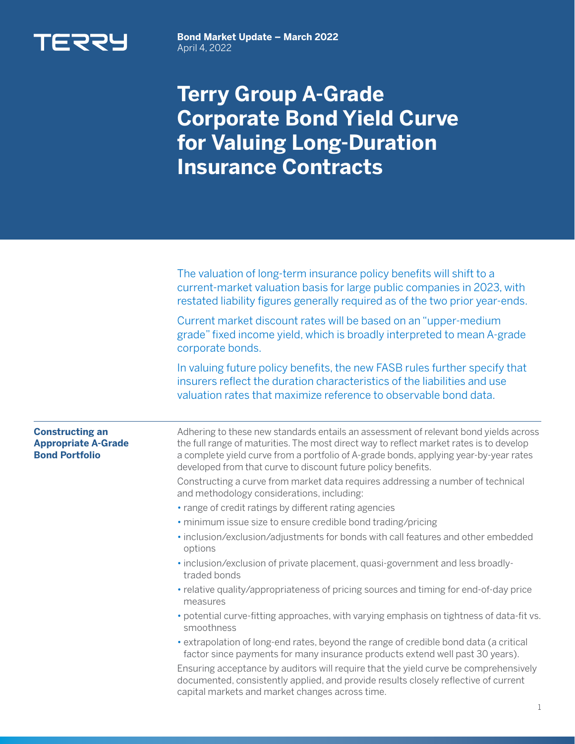

**Bond Market Update – March 2022**  April 4, 2022

## **Terry Group A-Grade Corporate Bond Yield Curve for Valuing Long-Duration Insurance Contracts**

|                                                                               | The valuation of long-term insurance policy benefits will shift to a<br>current-market valuation basis for large public companies in 2023, with<br>restated liability figures generally required as of the two prior year-ends.                                                                                                           |  |  |
|-------------------------------------------------------------------------------|-------------------------------------------------------------------------------------------------------------------------------------------------------------------------------------------------------------------------------------------------------------------------------------------------------------------------------------------|--|--|
|                                                                               | Current market discount rates will be based on an "upper-medium<br>grade" fixed income yield, which is broadly interpreted to mean A-grade<br>corporate bonds.                                                                                                                                                                            |  |  |
|                                                                               | In valuing future policy benefits, the new FASB rules further specify that<br>insurers reflect the duration characteristics of the liabilities and use<br>valuation rates that maximize reference to observable bond data.                                                                                                                |  |  |
| <b>Constructing an</b><br><b>Appropriate A-Grade</b><br><b>Bond Portfolio</b> | Adhering to these new standards entails an assessment of relevant bond yields across<br>the full range of maturities. The most direct way to reflect market rates is to develop<br>a complete yield curve from a portfolio of A-grade bonds, applying year-by-year rates<br>developed from that curve to discount future policy benefits. |  |  |
|                                                                               | Constructing a curve from market data requires addressing a number of technical<br>and methodology considerations, including:                                                                                                                                                                                                             |  |  |
|                                                                               | • range of credit ratings by different rating agencies                                                                                                                                                                                                                                                                                    |  |  |
|                                                                               | · minimum issue size to ensure credible bond trading/pricing                                                                                                                                                                                                                                                                              |  |  |
|                                                                               | · inclusion/exclusion/adjustments for bonds with call features and other embedded<br>options                                                                                                                                                                                                                                              |  |  |
|                                                                               | · inclusion/exclusion of private placement, quasi-government and less broadly-<br>traded bonds                                                                                                                                                                                                                                            |  |  |
|                                                                               | • relative quality/appropriateness of pricing sources and timing for end-of-day price<br>measures                                                                                                                                                                                                                                         |  |  |
|                                                                               | • potential curve-fitting approaches, with varying emphasis on tightness of data-fit vs.<br>smoothness                                                                                                                                                                                                                                    |  |  |
|                                                                               | • extrapolation of long-end rates, beyond the range of credible bond data (a critical<br>factor since payments for many insurance products extend well past 30 years).                                                                                                                                                                    |  |  |
|                                                                               | Ensuring acceptance by auditors will require that the yield curve be comprehensively<br>documented, consistently applied, and provide results closely reflective of current<br>capital markets and market changes across time.                                                                                                            |  |  |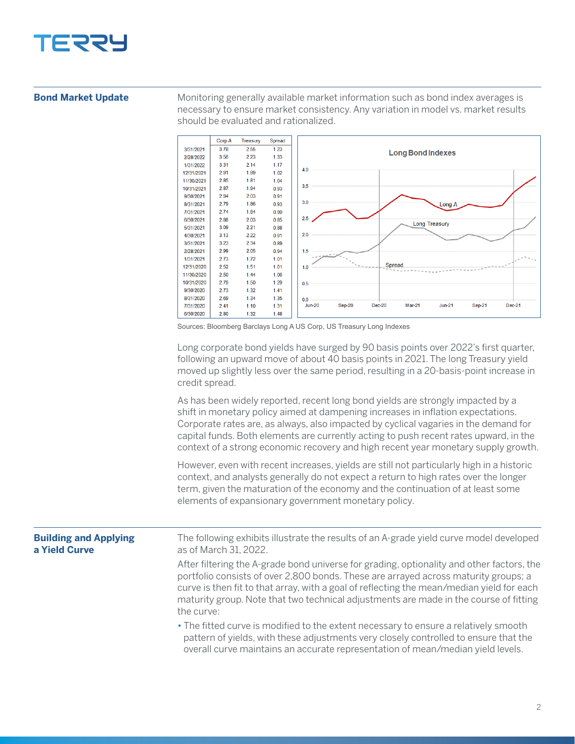

## **Bond Market Update**

Monitoring generally available market information such as bond index averages is necessary to ensure market consistency. Any variation in model vs. market results should be evaluated and rationalized.



Sources: Bloomberg Barclays Long A US Corp, US Treasury Long Indexes

Long corporate bond yields have surged by 90 basis points over 2022's first quarter, following an upward move of about 40 basis points in 2021. The long Treasury yield moved up slightly less over the same period, resulting in a 20-basis-point increase in credit spread.

As has been widely reported, recent long bond yields are strongly impacted by a shift in monetary policy aimed at dampening increases in inflation expectations. Corporate rates are, as always, also impacted by cyclical vagaries in the demand for capital funds. Both elements are currently acting to push recent rates upward, in the context of a strong economic recovery and high recent year monetary supply growth.

However, even with recent increases, yields are still not particularly high in a historic context, and analysts generally do not expect a return to high rates over the longer term, given the maturation of the economy and the continuation of at least some elements of expansionary government monetary policy.

The following exhibits illustrate the results of an A-grade yield curve model developed as of March 31, 2022. After filtering the A-grade bond universe for grading, optionality and other factors, the portfolio consists of over 2,800 bonds. These are arrayed across maturity groups; a curve is then fit to that array, with a goal of reflecting the mean/median yield for each maturity group. Note that two technical adjustments are made in the course of fitting the curve: • The fitted curve is modified to the extent necessary to ensure a relatively smooth pattern of yields, with these adjustments very closely controlled to ensure that the overall curve maintains an accurate representation of mean/median yield levels. **Building and Applying a Yield Curve**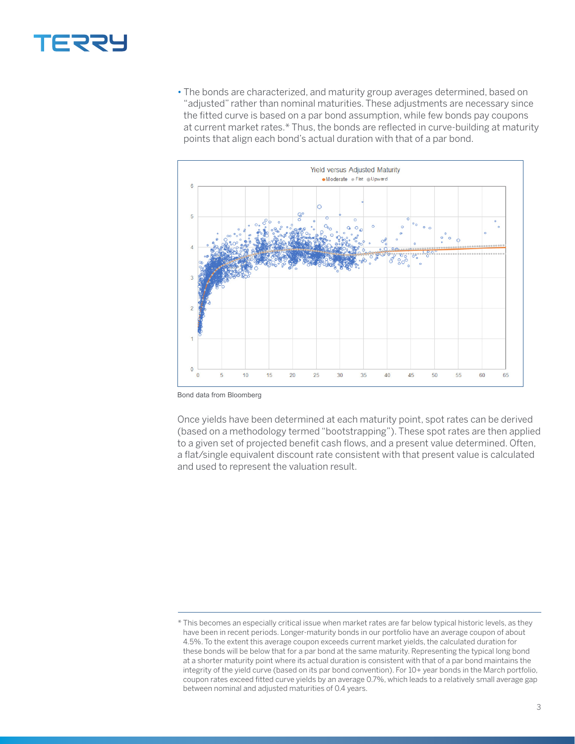

• The bonds are characterized, and maturity group averages determined, based on "adjusted" rather than nominal maturities. These adjustments are necessary since the fitted curve is based on a par bond assumption, while few bonds pay coupons at current market rates.\* Thus, the bonds are reflected in curve-building at maturity points that align each bond's actual duration with that of a par bond.



Bond data from Bloomberg

Once yields have been determined at each maturity point, spot rates can be derived (based on a methodology termed "bootstrapping"). These spot rates are then applied to a given set of projected benefit cash flows, and a present value determined. Often, a flat/single equivalent discount rate consistent with that present value is calculated and used to represent the valuation result.

<sup>\*</sup> This becomes an especially critical issue when market rates are far below typical historic levels, as they have been in recent periods. Longer-maturity bonds in our portfolio have an average coupon of about 4.5%. To the extent this average coupon exceeds current market yields, the calculated duration for these bonds will be below that for a par bond at the same maturity. Representing the typical long bond at a shorter maturity point where its actual duration is consistent with that of a par bond maintains the integrity of the yield curve (based on its par bond convention). For 10+ year bonds in the March portfolio, coupon rates exceed fitted curve yields by an average 0.7%, which leads to a relatively small average gap between nominal and adjusted maturities of 0.4 years.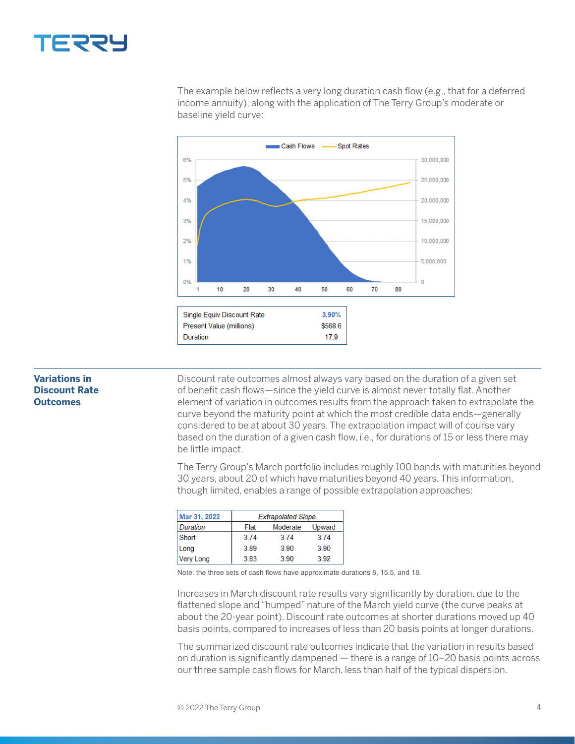

The example below reflects a very long duration cash flow (e.g., that for a deferred income annuity), along with the application of The Terry Group's moderate or baseline yield curve:



## **Variations in Discount Rate Outcomes**

Discount rate outcomes almost always vary based on the duration of a given set of benefit cash flows—since the yield curve is almost never totally flat. Another element of variation in outcomes results from the approach taken to extrapolate the curve beyond the maturity point at which the most credible data ends—generally considered to be at about 30 years. The extrapolation impact will of course vary based on the duration of a given cash flow, i.e., for durations of 15 or less there may be little impact.

The Terry Group's March portfolio includes roughly 100 bonds with maturities beyond 30 years, about 20 of which have maturities beyond 40 years. This information, though limited, enables a range of possible extrapolation approaches:

| Mar 31, 2022     | <b>Extrapolated Slope</b> |          |        |
|------------------|---------------------------|----------|--------|
| <b>Duration</b>  | Flat                      | Moderate | Upward |
| Short            | 3.74                      | 3.74     | 3.74   |
| Long             | 3.89                      | 3.90     | 3.90   |
| <b>Very Long</b> | 3.83                      | 3.90     | 3.92   |

Note: the three sets of cash flows have approximate durations 8, 15.5, and 18.

Increases in March discount rate results vary significantly by duration, due to the flattened slope and "humped" nature of the March yield curve (the curve peaks at about the 20-year point). Discount rate outcomes at shorter durations moved up 40 basis points, compared to increases of less than 20 basis points at longer durations.

The summarized discount rate outcomes indicate that the variation in results based on duration is significantly dampened — there is a range of 10–20 basis points across our three sample cash flows for March, less than half of the typical dispersion.